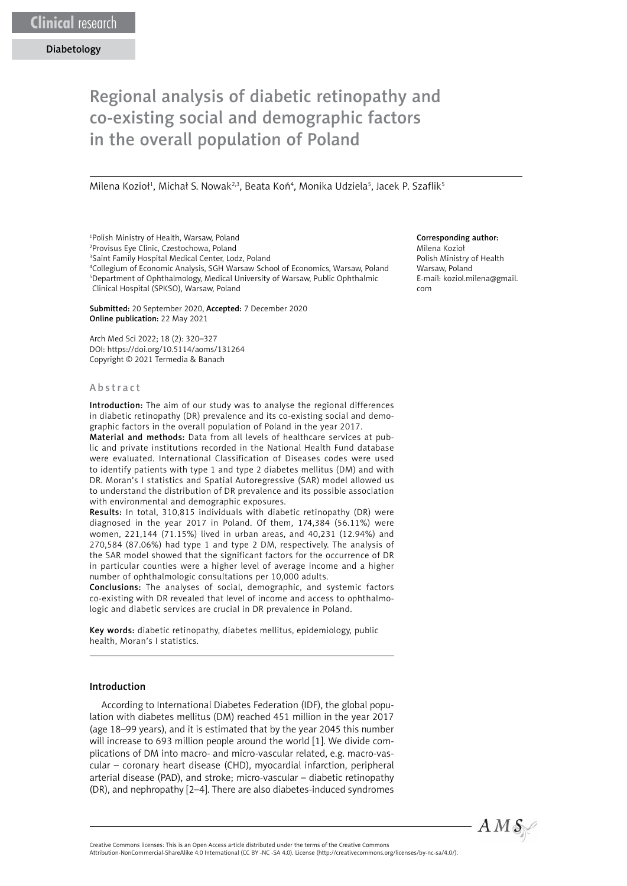# Regional analysis of diabetic retinopathy and co-existing social and demographic factors in the overall population of Poland

Milena Kozioł<sup>1</sup>, Michał S. Nowak<sup>2,3</sup>, Beata Koń<sup>4</sup>, Monika Udziela<sup>5</sup>, Jacek P. Szaflik<sup>5</sup>

1 Polish Ministry of Health, Warsaw, Poland

2 Provisus Eye Clinic, Czestochowa, Poland

3 Saint Family Hospital Medical Center, Lodz, Poland

4 Collegium of Economic Analysis, SGH Warsaw School of Economics, Warsaw, Polan[d](https://www.editorialsystem.com/editor/ams/js/article/131264/) 5 Department of Ophthalmology, Medical University of Warsaw, Public Ophthalmic Clinical Hospital (SPKSO), Warsaw, Poland

Submitted: 20 September 2020, Accepted: 7 December 2020 Online publication: 22 May 2021

Arch Med Sci 2022; 18 (2): 320–327 DOI: https://doi.org/10.5114/aoms/131264 Copyright © 2021 Termedia & Banach

#### Abstract

Introduction: The aim of our study was to analyse the regional differences in diabetic retinopathy (DR) prevalence and its co-existing social and demographic factors in the overall population of Poland in the year 2017.

Material and methods: Data from all levels of healthcare services at public and private institutions recorded in the National Health Fund database were evaluated. International Classification of Diseases codes were used to identify patients with type 1 and type 2 diabetes mellitus (DM) and with DR. Moran's I statistics and Spatial Autoregressive (SAR) model allowed us to understand the distribution of DR prevalence and its possible association with environmental and demographic exposures.

Results: In total, 310,815 individuals with diabetic retinopathy (DR) were diagnosed in the year 2017 in Poland. Of them, 174,384 (56.11%) were women, 221,144 (71.15%) lived in urban areas, and 40,231 (12.94%) and 270,584 (87.06%) had type 1 and type 2 DM, respectively. The analysis of the SAR model showed that the significant factors for the occurrence of DR in particular counties were a higher level of average income and a higher number of ophthalmologic consultations per 10,000 adults.

Conclusions: The analyses of social, demographic, and systemic factors co-existing with DR revealed that level of income and access to ophthalmologic and diabetic services are crucial in DR prevalence in Poland.

Key words: diabetic retinopathy, diabetes mellitus, epidemiology, public health, Moran's I statistics.

### Introduction

According to International Diabetes Federation (IDF), the global population with diabetes mellitus (DM) reached 451 million in the year 2017 (age 18–99 years), and it is estimated that by the year 2045 this number will increase to 693 million people around the world [1]. We divide complications of DM into macro- and micro-vascular related, e.g. macro-vascular – coronary heart disease (CHD), myocardial infarction, peripheral arterial disease (PAD), and stroke; micro-vascular – diabetic retinopathy (DR), and nephropathy [2–4]. There are also diabetes-induced syndromes

#### Corresponding author:

Milena Kozioł Polish Ministry of Health Warsaw, Poland E-mail: [koziol.milena@gmail.](mailto:koziol.milena@gmail.com) [com](mailto:koziol.milena@gmail.com)



Attribution-NonCommercial-ShareAlike 4.0 International (CC BY -NC -SA 4.0). License (http://creativecommons.org/licenses/by-nc-sa/4.0/).

Creative Commons licenses: This is an Open Access article distributed under the terms of the Creative Commons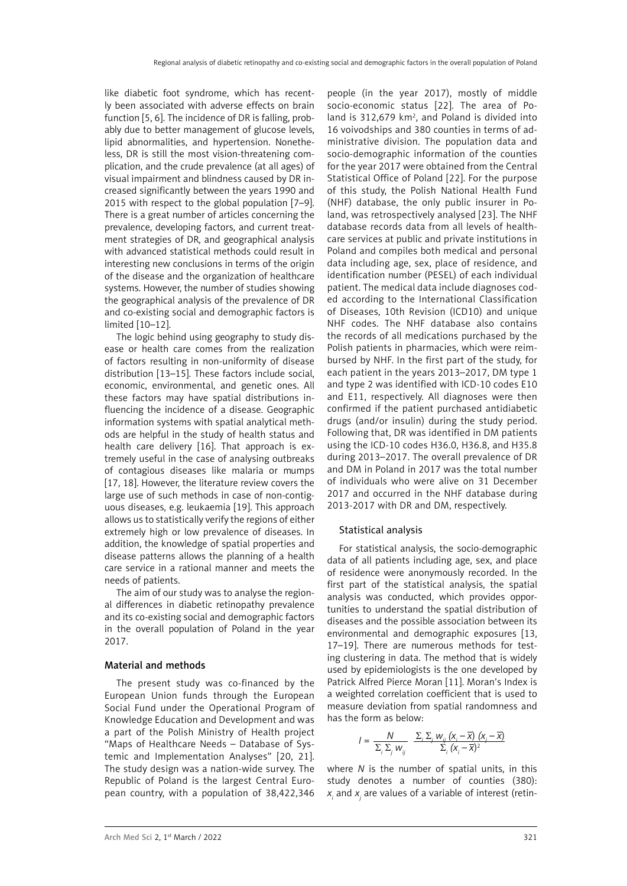like diabetic foot syndrome, which has recently been associated with adverse effects on brain function [5, 6]. The incidence of DR is falling, probably due to better management of glucose levels, lipid abnormalities, and hypertension. Nonetheless, DR is still the most vision-threatening complication, and the crude prevalence (at all ages) of visual impairment and blindness caused by DR increased significantly between the years 1990 and 2015 with respect to the global population [7–9]. There is a great number of articles concerning the prevalence, developing factors, and current treatment strategies of DR, and geographical analysis with advanced statistical methods could result in interesting new conclusions in terms of the origin of the disease and the organization of healthcare systems. However, the number of studies showing the geographical analysis of the prevalence of DR and co-existing social and demographic factors is limited [10–12].

The logic behind using geography to study disease or health care comes from the realization of factors resulting in non-uniformity of disease distribution [13–15]. These factors include social, economic, environmental, and genetic ones. All these factors may have spatial distributions influencing the incidence of a disease. Geographic information systems with spatial analytical methods are helpful in the study of health status and health care delivery [16]. That approach is extremely useful in the case of analysing outbreaks of contagious diseases like malaria or mumps [17, 18]. However, the literature review covers the large use of such methods in case of non-contiguous diseases, e.g. leukaemia [19]. This approach allows us to statistically verify the regions of either extremely high or low prevalence of diseases. In addition, the knowledge of spatial properties and disease patterns allows the planning of a health care service in a rational manner and meets the needs of patients.

The aim of our study was to analyse the regional differences in diabetic retinopathy prevalence and its co-existing social and demographic factors in the overall population of Poland in the year 2017.

### Material and methods

The present study was co-financed by the European Union funds through the European Social Fund under the Operational Program of Knowledge Education and Development and was a part of the Polish Ministry of Health project "Maps of Healthcare Needs – Database of Systemic and Implementation Analyses" [20, 21]. The study design was a nation-wide survey. The Republic of Poland is the largest Central European country, with a population of 38,422,346

people (in the year 2017), mostly of middle socio-economic status [22]. The area of Poland is 312,679  $km^2$ , and Poland is divided into 16 voivodships and 380 counties in terms of administrative division. The population data and socio-demographic information of the counties for the year 2017 were obtained from the Central Statistical Office of Poland [22]. For the purpose of this study, the Polish National Health Fund (NHF) database, the only public insurer in Poland, was retrospectively analysed [23]. The NHF database records data from all levels of healthcare services at public and private institutions in Poland and compiles both medical and personal data including age, sex, place of residence, and identification number (PESEL) of each individual patient. The medical data include diagnoses coded according to the International Classification of Diseases, 10th Revision (ICD10) and unique NHF codes. The NHF database also contains the records of all medications purchased by the Polish patients in pharmacies, which were reimbursed by NHF. In the first part of the study, for each patient in the years 2013–2017, DM type 1 and type 2 was identified with ICD-10 codes E10 and E11, respectively. All diagnoses were then confirmed if the patient purchased antidiabetic drugs (and/or insulin) during the study period. Following that, DR was identified in DM patients using the ICD-10 codes H36.0, H36.8, and H35.8 during 2013–2017. The overall prevalence of DR and DM in Poland in 2017 was the total number of individuals who were alive on 31 December 2017 and occurred in the NHF database during 2013-2017 with DR and DM, respectively.

#### Statistical analysis

For statistical analysis, the socio-demographic data of all patients including age, sex, and place of residence were anonymously recorded. In the first part of the statistical analysis, the spatial analysis was conducted, which provides opportunities to understand the spatial distribution of diseases and the possible association between its environmental and demographic exposures [13, 17–19]. There are numerous methods for testing clustering in data. The method that is widely used by epidemiologists is the one developed by Patrick Alfred Pierce Moran [11]. Moran's Index is a weighted correlation coefficient that is used to measure deviation from spatial randomness and has the form as below:

$$
I = \frac{N}{\sum_{i} \sum_{j} w_{ij}} \frac{\sum_{i} \sum_{j} w_{ij} (x_i - \overline{x}) (x_j - \overline{x})}{\sum_{i} (x_i - \overline{x})^2}
$$

where *N* is the number of spatial units, in this study denotes a number of counties (380):  $x_{i}$  and  $x_{j}$  are values of a variable of interest (retin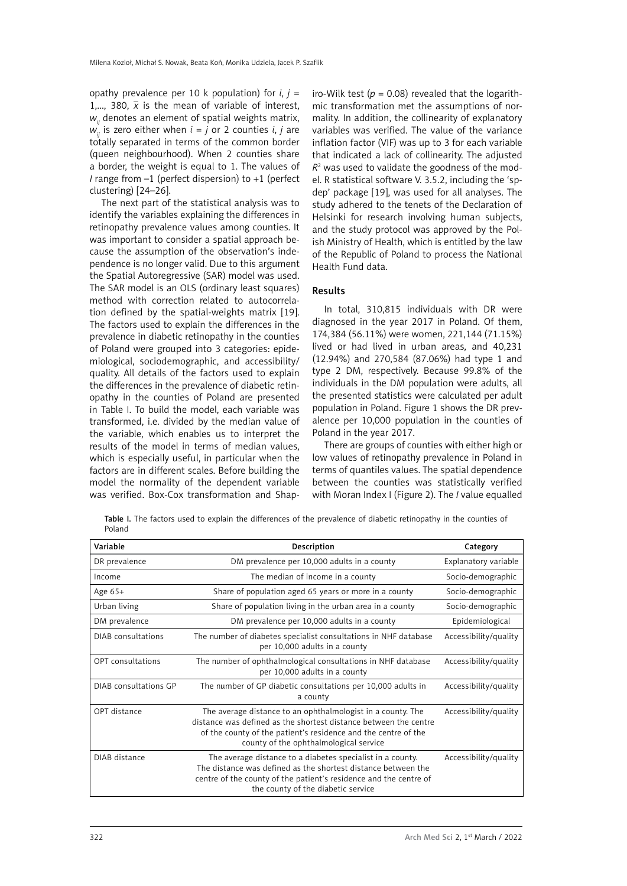opathy prevalence per 10 k population) for  $i, j =$ 1,..., 380,  $\bar{x}$  is the mean of variable of interest, *w*<sub>ij</sub> denotes an element of spatial weights matrix,  $w'_{ii}$  is zero either when  $i = j$  or 2 counties *i*, *j* are totally separated in terms of the common border (queen neighbourhood). When 2 counties share a border, the weight is equal to 1. The values of *I* range from –1 (perfect dispersion) to +1 (perfect clustering) [24–26].

The next part of the statistical analysis was to identify the variables explaining the differences in retinopathy prevalence values among counties. It was important to consider a spatial approach because the assumption of the observation's independence is no longer valid. Due to this argument the Spatial Autoregressive (SAR) model was used. The SAR model is an OLS (ordinary least squares) method with correction related to autocorrelation defined by the spatial-weights matrix [19]. The factors used to explain the differences in the prevalence in diabetic retinopathy in the counties of Poland were grouped into 3 categories: epidemiological, sociodemographic, and accessibility/ quality. All details of the factors used to explain the differences in the prevalence of diabetic retinopathy in the counties of Poland are presented in Table I. To build the model, each variable was transformed, i.e. divided by the median value of the variable, which enables us to interpret the results of the model in terms of median values, which is especially useful, in particular when the factors are in different scales. Before building the model the normality of the dependent variable was verified. Box-Cox transformation and Shapiro-Wilk test ( $p = 0.08$ ) revealed that the logarithmic transformation met the assumptions of normality. In addition, the collinearity of explanatory variables was verified. The value of the variance inflation factor (VIF) was up to 3 for each variable that indicated a lack of collinearity. The adjusted  $R<sup>2</sup>$  was used to validate the goodness of the model. R statistical software V. 3.5.2, including the 'spdep' package [19], was used for all analyses. The study adhered to the tenets of the Declaration of Helsinki for research involving human subjects, and the study protocol was approved by the Polish Ministry of Health, which is entitled by the law of the Republic of Poland to process the National Health Fund data.

## Results

In total, 310,815 individuals with DR were diagnosed in the year 2017 in Poland. Of them, 174,384 (56.11%) were women, 221,144 (71.15%) lived or had lived in urban areas, and 40,231 (12.94%) and 270,584 (87.06%) had type 1 and type 2 DM, respectively. Because 99.8% of the individuals in the DM population were adults, all the presented statistics were calculated per adult population in Poland. Figure 1 shows the DR prevalence per 10,000 population in the counties of Poland in the year 2017.

There are groups of counties with either high or low values of retinopathy prevalence in Poland in terms of quantiles values. The spatial dependence between the counties was statistically verified with Moran Index I (Figure 2). The *I* value equalled

Table I. The factors used to explain the differences of the prevalence of diabetic retinopathy in the counties of Poland

| Variable                  | Description                                                                                                                                                                                                                                 | Category              |
|---------------------------|---------------------------------------------------------------------------------------------------------------------------------------------------------------------------------------------------------------------------------------------|-----------------------|
| DR prevalence             | DM prevalence per 10,000 adults in a county                                                                                                                                                                                                 | Explanatory variable  |
| Income                    | The median of income in a county                                                                                                                                                                                                            | Socio-demographic     |
| Age $65+$                 | Share of population aged 65 years or more in a county                                                                                                                                                                                       | Socio-demographic     |
| Urban living              | Share of population living in the urban area in a county                                                                                                                                                                                    | Socio-demographic     |
| DM prevalence             | DM prevalence per 10,000 adults in a county                                                                                                                                                                                                 | Epidemiological       |
| <b>DIAB</b> consultations | The number of diabetes specialist consultations in NHF database<br>per 10,000 adults in a county                                                                                                                                            | Accessibility/quality |
| <b>OPT</b> consultations  | The number of ophthalmological consultations in NHF database<br>per 10,000 adults in a county                                                                                                                                               | Accessibility/quality |
| DIAB consultations GP     | The number of GP diabetic consultations per 10,000 adults in<br>a county                                                                                                                                                                    | Accessibility/quality |
| OPT distance              | The average distance to an ophthalmologist in a county. The<br>distance was defined as the shortest distance between the centre<br>of the county of the patient's residence and the centre of the<br>county of the ophthalmological service | Accessibility/quality |
| DIAB distance             | The average distance to a diabetes specialist in a county.<br>The distance was defined as the shortest distance between the<br>centre of the county of the patient's residence and the centre of<br>the county of the diabetic service      | Accessibility/quality |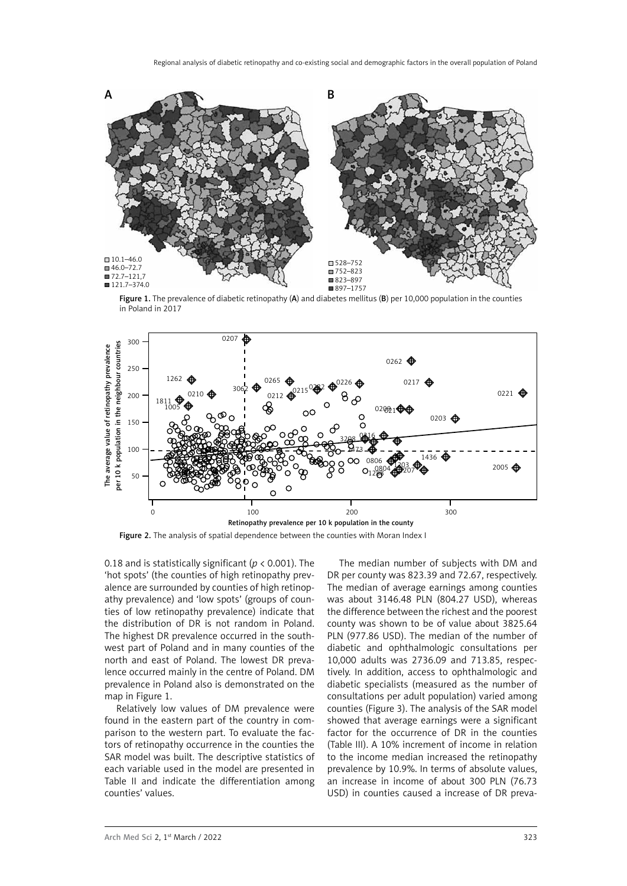

Figure 1. The prevalence of diabetic retinopathy (A) and diabetes mellitus (B) per 10,000 population in the counties in Poland in 2017



Figure 2. The analysis of spatial dependence between the counties with Moran Index I

0.18 and is statistically significant (*p* < 0.001). The 'hot spots' (the counties of high retinopathy prevalence are surrounded by counties of high retinopathy prevalence) and 'low spots' (groups of counties of low retinopathy prevalence) indicate that the distribution of DR is not random in Poland. The highest DR prevalence occurred in the southwest part of Poland and in many counties of the north and east of Poland. The lowest DR prevalence occurred mainly in the centre of Poland. DM prevalence in Poland also is demonstrated on the map in Figure 1.

Relatively low values of DM prevalence were found in the eastern part of the country in comparison to the western part. To evaluate the factors of retinopathy occurrence in the counties the SAR model was built. The descriptive statistics of each variable used in the model are presented in Table II and indicate the differentiation among counties' values.

The median number of subjects with DM and DR per county was 823.39 and 72.67, respectively. The median of average earnings among counties was about 3146.48 PLN (804.27 USD), whereas the difference between the richest and the poorest county was shown to be of value about 3825.64 PLN (977.86 USD). The median of the number of diabetic and ophthalmologic consultations per 10,000 adults was 2736.09 and 713.85, respectively. In addition, access to ophthalmologic and diabetic specialists (measured as the number of consultations per adult population) varied among counties (Figure 3). The analysis of the SAR model showed that average earnings were a significant factor for the occurrence of DR in the counties (Table III). A 10% increment of income in relation to the income median increased the retinopathy prevalence by 10.9%. In terms of absolute values, an increase in income of about 300 PLN (76.73 USD) in counties caused a increase of DR preva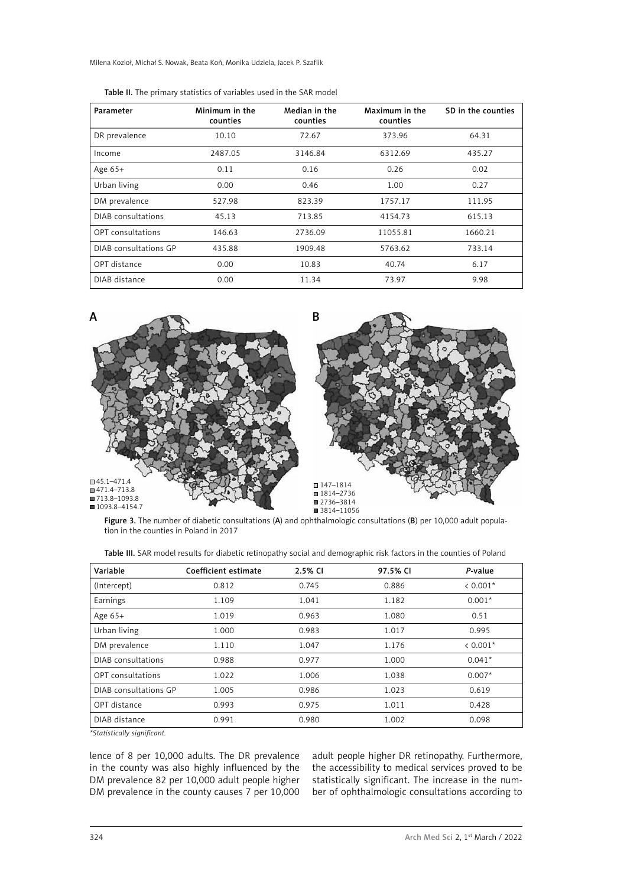Milena Kozioł, Michał S. Nowak, Beata Koń, Monika Udziela, Jacek P. Szaflik

| Parameter             | Minimum in the<br>counties | Median in the<br>counties | Maximum in the<br>counties | SD in the counties |
|-----------------------|----------------------------|---------------------------|----------------------------|--------------------|
| DR prevalence         | 10.10                      | 72.67                     | 373.96                     | 64.31              |
| Income                | 2487.05                    | 3146.84                   | 6312.69                    | 435.27             |
| Age $65+$             | 0.11                       | 0.16                      | 0.26                       | 0.02               |
| Urban living          | 0.00                       | 0.46                      | 1.00                       | 0.27               |
| DM prevalence         | 527.98                     | 823.39                    | 1757.17                    | 111.95             |
| DIAB consultations    | 45.13                      | 713.85                    | 4154.73                    | 615.13             |
| OPT consultations     | 146.63                     | 2736.09                   | 11055.81                   | 1660.21            |
| DIAB consultations GP | 435.88                     | 1909.48                   | 5763.62                    | 733.14             |
| OPT distance          | 0.00                       | 10.83                     | 40.74                      | 6.17               |
| DIAB distance         | 0.00                       | 11.34                     | 73.97                      | 9.98               |

|  | Table II. The primary statistics of variables used in the SAR model |  |  |  |
|--|---------------------------------------------------------------------|--|--|--|
|--|---------------------------------------------------------------------|--|--|--|



Figure 3. The number of diabetic consultations (A) and ophthalmologic consultations (B) per 10,000 adult population in the counties in Poland in 2017

| Variable              | Coefficient estimate | 2.5% CI | 97.5% CI | P-value    |
|-----------------------|----------------------|---------|----------|------------|
| (Intercept)           | 0.812                | 0.745   | 0.886    | $< 0.001*$ |
| Earnings              | 1.109                | 1.041   | 1.182    | $0.001*$   |
| Age $65+$             | 1.019                | 0.963   | 1.080    | 0.51       |
| Urban living          | 1.000                | 0.983   | 1.017    | 0.995      |
| DM prevalence         | 1.110                | 1.047   | 1.176    | $< 0.001*$ |
| DIAB consultations    | 0.988                | 0.977   | 1.000    | $0.041*$   |
| OPT consultations     | 1.022                | 1.006   | 1.038    | $0.007*$   |
| DIAB consultations GP | 1.005                | 0.986   | 1.023    | 0.619      |
| OPT distance          | 0.993                | 0.975   | 1.011    | 0.428      |
| DIAB distance         | 0.991                | 0.980   | 1.002    | 0.098      |

Table III. SAR model results for diabetic retinopathy social and demographic risk factors in the counties of Poland

*\*Statistically significant.*

lence of 8 per 10,000 adults. The DR prevalence in the county was also highly influenced by the DM prevalence 82 per 10,000 adult people higher DM prevalence in the county causes 7 per 10,000

adult people higher DR retinopathy. Furthermore, the accessibility to medical services proved to be statistically significant. The increase in the number of ophthalmologic consultations according to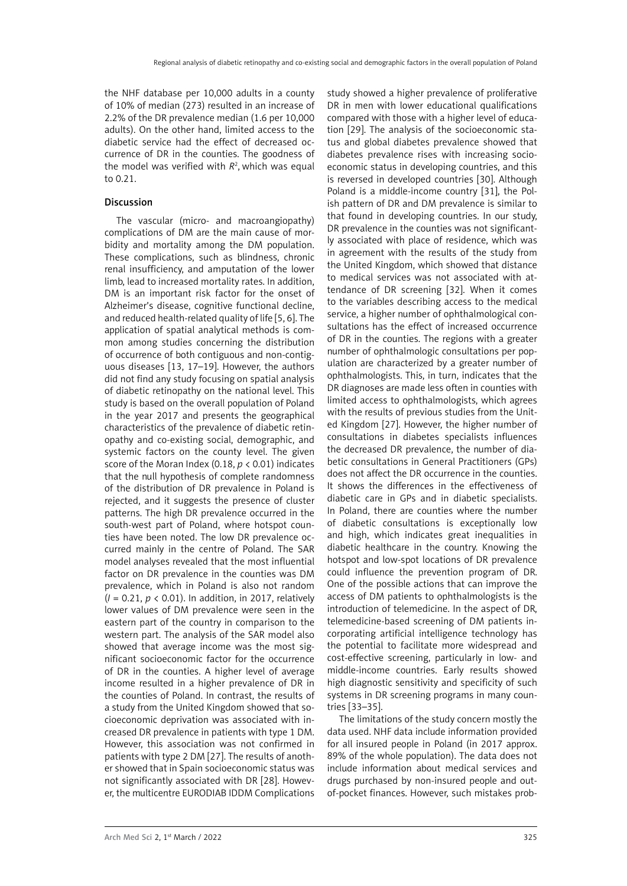the NHF database per 10,000 adults in a county of 10% of median (273) resulted in an increase of 2.2% of the DR prevalence median (1.6 per 10,000 adults). On the other hand, limited access to the diabetic service had the effect of decreased occurrence of DR in the counties. The goodness of the model was verified with  $R^2$ , which was equal to 0.21.

## Discussion

The vascular (micro- and macroangiopathy) complications of DM are the main cause of morbidity and mortality among the DM population. These complications, such as blindness, chronic renal insufficiency, and amputation of the lower limb, lead to increased mortality rates. In addition, DM is an important risk factor for the onset of Alzheimer's disease, cognitive functional decline, and reduced health-related quality of life [5, 6]. The application of spatial analytical methods is common among studies concerning the distribution of occurrence of both contiguous and non-contiguous diseases [13, 17–19]. However, the authors did not find any study focusing on spatial analysis of diabetic retinopathy on the national level. This study is based on the overall population of Poland in the year 2017 and presents the geographical characteristics of the prevalence of diabetic retinopathy and co-existing social, demographic, and systemic factors on the county level. The given score of the Moran Index (0.18, *p* < 0.01) indicates that the null hypothesis of complete randomness of the distribution of DR prevalence in Poland is rejected, and it suggests the presence of cluster patterns. The high DR prevalence occurred in the south-west part of Poland, where hotspot counties have been noted. The low DR prevalence occurred mainly in the centre of Poland. The SAR model analyses revealed that the most influential factor on DR prevalence in the counties was DM prevalence, which in Poland is also not random (*I* = 0.21, *p* < 0.01). In addition, in 2017, relatively lower values of DM prevalence were seen in the eastern part of the country in comparison to the western part. The analysis of the SAR model also showed that average income was the most significant socioeconomic factor for the occurrence of DR in the counties. A higher level of average income resulted in a higher prevalence of DR in the counties of Poland. In contrast, the results of a study from the United Kingdom showed that socioeconomic deprivation was associated with increased DR prevalence in patients with type 1 DM. However, this association was not confirmed in patients with type 2 DM [27]. The results of another showed that in Spain socioeconomic status was not significantly associated with DR [28]. However, the multicentre EURODIAB IDDM Complications study showed a higher prevalence of proliferative DR in men with lower educational qualifications compared with those with a higher level of education [29]. The analysis of the socioeconomic status and global diabetes prevalence showed that diabetes prevalence rises with increasing socioeconomic status in developing countries, and this is reversed in developed countries [30]. Although Poland is a middle-income country [31], the Polish pattern of DR and DM prevalence is similar to that found in developing countries. In our study, DR prevalence in the counties was not significantly associated with place of residence, which was in agreement with the results of the study from the United Kingdom, which showed that distance to medical services was not associated with attendance of DR screening [32]. When it comes to the variables describing access to the medical service, a higher number of ophthalmological consultations has the effect of increased occurrence of DR in the counties. The regions with a greater number of ophthalmologic consultations per population are characterized by a greater number of ophthalmologists. This, in turn, indicates that the DR diagnoses are made less often in counties with limited access to ophthalmologists, which agrees with the results of previous studies from the United Kingdom [27]. However, the higher number of consultations in diabetes specialists influences the decreased DR prevalence, the number of diabetic consultations in General Practitioners (GPs) does not affect the DR occurrence in the counties. It shows the differences in the effectiveness of diabetic care in GPs and in diabetic specialists. In Poland, there are counties where the number of diabetic consultations is exceptionally low and high, which indicates great inequalities in diabetic healthcare in the country. Knowing the hotspot and low-spot locations of DR prevalence could influence the prevention program of DR. One of the possible actions that can improve the access of DM patients to ophthalmologists is the introduction of telemedicine. In the aspect of DR, telemedicine-based screening of DM patients incorporating artificial intelligence technology has the potential to facilitate more widespread and cost-effective screening, particularly in low- and middle-income countries. Early results showed high diagnostic sensitivity and specificity of such systems in DR screening programs in many countries [33–35].

The limitations of the study concern mostly the data used. NHF data include information provided for all insured people in Poland (in 2017 approx. 89% of the whole population). The data does not include information about medical services and drugs purchased by non-insured people and outof-pocket finances. However, such mistakes prob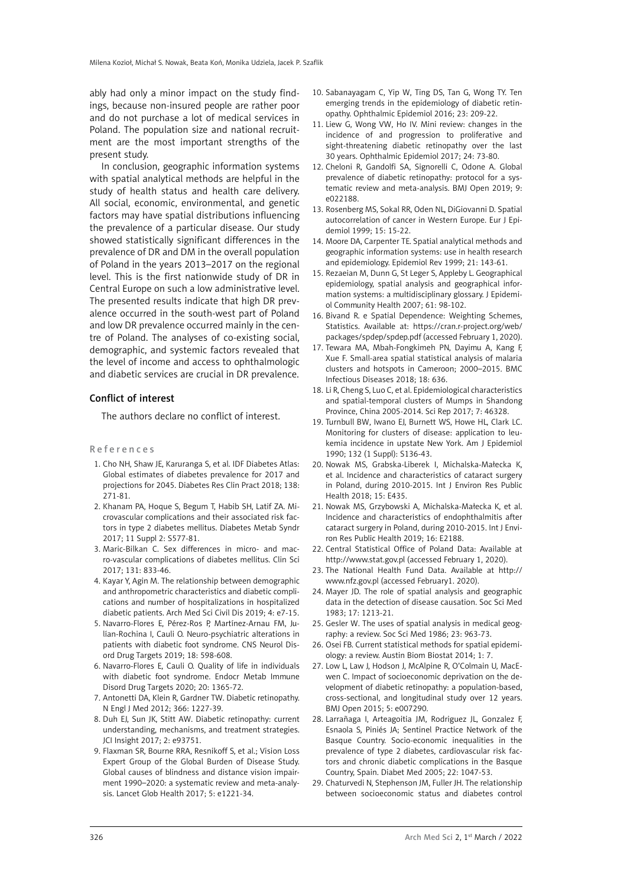ably had only a minor impact on the study findings, because non-insured people are rather poor and do not purchase a lot of medical services in Poland. The population size and national recruitment are the most important strengths of the present study.

In conclusion, geographic information systems with spatial analytical methods are helpful in the study of health status and health care delivery. All social, economic, environmental, and genetic factors may have spatial distributions influencing the prevalence of a particular disease. Our study showed statistically significant differences in the prevalence of DR and DM in the overall population of Poland in the years 2013–2017 on the regional level. This is the first nationwide study of DR in Central Europe on such a low administrative level. The presented results indicate that high DR prevalence occurred in the south-west part of Poland and low DR prevalence occurred mainly in the centre of Poland. The analyses of co-existing social, demographic, and systemic factors revealed that the level of income and access to ophthalmologic and diabetic services are crucial in DR prevalence.

#### Conflict of interest

The authors declare no conflict of interest.

#### R e f e r e n c e s

- 1. Cho NH, Shaw JE, Karuranga S, et al. IDF Diabetes Atlas: Global estimates of diabetes prevalence for 2017 and projections for 2045. Diabetes Res Clin Pract 2018; 138: 271-81.
- 2. Khanam PA, Hoque S, Begum T, Habib SH, Latif ZA. Microvascular complications and their associated risk factors in type 2 diabetes mellitus. Diabetes Metab Syndr 2017; 11 Suppl 2: S577-81.
- 3. Maric-Bilkan C. Sex differences in micro- and macro-vascular complications of diabetes mellitus. Clin Sci 2017; 131: 833-46.
- 4. Kayar Y, Agin M. The relationship between demographic and anthropometric characteristics and diabetic complications and number of hospitalizations in hospitalized diabetic patients. Arch Med Sci Civil Dis 2019; 4: e7-15.
- 5. Navarro-Flores E, Pérez-Ros P, Martínez-Arnau FM, Julían-Rochina I, Cauli O. Neuro-psychiatric alterations in patients with diabetic foot syndrome. CNS Neurol Disord Drug Targets 2019; 18: 598-608.
- 6. Navarro-Flores E, Cauli O. Quality of life in individuals with diabetic foot syndrome. Endocr Metab Immune Disord Drug Targets 2020; 20: 1365-72.
- 7. Antonetti DA, Klein R, Gardner TW. Diabetic retinopathy. N Engl J Med 2012; 366: 1227-39.
- 8. Duh EJ, Sun JK, Stitt AW. Diabetic retinopathy: current understanding, mechanisms, and treatment strategies. JCI Insight 2017; 2: e93751.
- 9. Flaxman SR, Bourne RRA, Resnikoff S, et al.; Vision Loss Expert Group of the Global Burden of Disease Study. Global causes of blindness and distance vision impairment 1990–2020: a systematic review and meta-analysis. Lancet Glob Health 2017; 5: e1221-34.
- 10. Sabanayagam C, Yip W, Ting DS, Tan G, Wong TY. Ten emerging trends in the epidemiology of diabetic retinopathy. Ophthalmic Epidemiol 2016; 23: 209-22.
- 11. Liew G, Wong VW, Ho IV. Mini review: changes in the incidence of and progression to proliferative and sight-threatening diabetic retinopathy over the last 30 years. Ophthalmic Epidemiol 2017; 24: 73-80.
- 12. Cheloni R, Gandolfi SA, Signorelli C, Odone A. Global prevalence of diabetic retinopathy: protocol for a systematic review and meta-analysis. BMJ Open 2019; 9: e022188.
- 13. Rosenberg MS, Sokal RR, Oden NL, DiGiovanni D. Spatial autocorrelation of cancer in Western Europe. Eur J Epidemiol 1999; 15: 15-22.
- 14. Moore DA, Carpenter TE. Spatial analytical methods and geographic information systems: use in health research and epidemiology. Epidemiol Rev 1999; 21: 143-61.
- 15. Rezaeian M, Dunn G, St Leger S, Appleby L. Geographical epidemiology, spatial analysis and geographical information systems: a multidisciplinary glossary. J Epidemiol Community Health 2007; 61: 98-102.
- 16. Bivand R. e Spatial Dependence: Weighting Schemes, Statistics. Available at: https://cran.r-project.org/web/ packages/spdep/spdep.pdf (accessed February 1, 2020).
- 17. Tewara MA, Mbah-Fongkimeh PN, Dayimu A, Kang F, Xue F. Small-area spatial statistical analysis of malaria clusters and hotspots in Cameroon; 2000–2015. BMC Infectious Diseases 2018; 18: 636.
- 18. Li R, Cheng S, Luo C, et al. Epidemiological characteristics and spatial-temporal clusters of Mumps in Shandong Province, China 2005-2014. Sci Rep 2017; 7: 46328.
- 19. Turnbull BW, Iwano EJ, Burnett WS, Howe HL, Clark LC. Monitoring for clusters of disease: application to leukemia incidence in upstate New York. Am J Epidemiol 1990; 132 (1 Suppl): S136-43.
- 20. Nowak MS, Grabska-Liberek I, Michalska-Małecka K, et al. Incidence and characteristics of cataract surgery in Poland, during 2010-2015. Int J Environ Res Public Health 2018; 15: E435.
- 21. Nowak MS, Grzybowski A, Michalska-Małecka K, et al. Incidence and characteristics of endophthalmitis after cataract surgery in Poland, during 2010-2015. Int J Environ Res Public Health 2019; 16: E2188.
- 22. Central Statistical Office of Poland Data: Available at http://www.stat.gov.pl (accessed February 1, 2020).
- 23. The National Health Fund Data. Available at [http://](http://www.nfz.gov.pl) [www.nfz.gov.pl](http://www.nfz.gov.pl) (accessed February1. 2020).
- 24. Mayer JD. The role of spatial analysis and geographic data in the detection of disease causation. Soc Sci Med 1983; 17: 1213-21.
- 25. Gesler W. The uses of spatial analysis in medical geography: a review. Soc Sci Med 1986; 23: 963-73.
- 26. Osei FB. Current statistical methods for spatial epidemiology: a review. Austin Biom Biostat 2014; 1: 7.
- 27. Low L, Law J, Hodson J, McAlpine R, O'Colmain U, MacEwen C. Impact of socioeconomic deprivation on the development of diabetic retinopathy: a population-based, cross-sectional, and longitudinal study over 12 years. BMJ Open 2015; 5: e007290.
- 28. Larrañaga I, Arteagoitia JM, Rodriguez JL, Gonzalez F, Esnaola S, Piniés JA; Sentinel Practice Network of the Basque Country. Socio-economic inequalities in the prevalence of type 2 diabetes, cardiovascular risk factors and chronic diabetic complications in the Basque Country, Spain. Diabet Med 2005; 22: 1047-53.
- 29. Chaturvedi N, Stephenson JM, Fuller JH. The relationship between socioeconomic status and diabetes control